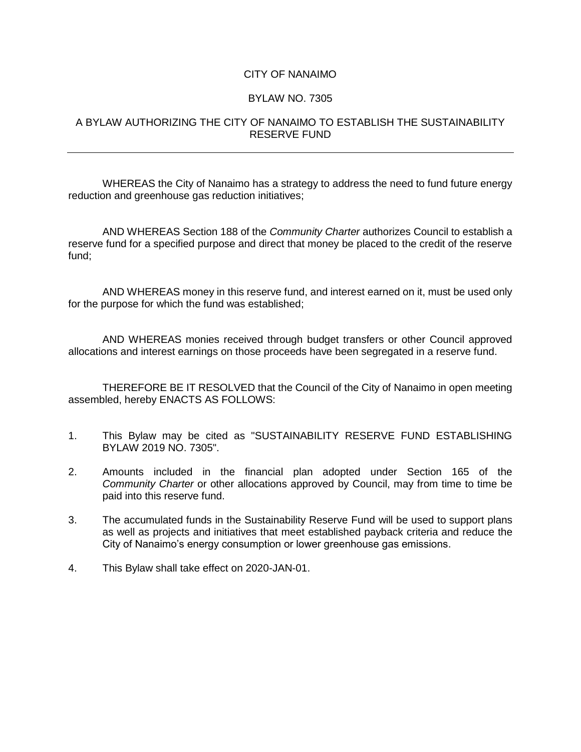## CITY OF NANAIMO

## BYLAW NO. 7305

## A BYLAW AUTHORIZING THE CITY OF NANAIMO TO ESTABLISH THE SUSTAINABILITY RESERVE FUND

WHEREAS the City of Nanaimo has a strategy to address the need to fund future energy reduction and greenhouse gas reduction initiatives;

AND WHEREAS Section 188 of the *Community Charter* authorizes Council to establish a reserve fund for a specified purpose and direct that money be placed to the credit of the reserve fund;

AND WHEREAS money in this reserve fund, and interest earned on it, must be used only for the purpose for which the fund was established;

AND WHEREAS monies received through budget transfers or other Council approved allocations and interest earnings on those proceeds have been segregated in a reserve fund.

THEREFORE BE IT RESOLVED that the Council of the City of Nanaimo in open meeting assembled, hereby ENACTS AS FOLLOWS:

- 1. This Bylaw may be cited as "SUSTAINABILITY RESERVE FUND ESTABLISHING BYLAW 2019 NO. 7305".
- 2. Amounts included in the financial plan adopted under Section 165 of the *Community Charter* or other allocations approved by Council, may from time to time be paid into this reserve fund.
- 3. The accumulated funds in the Sustainability Reserve Fund will be used to support plans as well as projects and initiatives that meet established payback criteria and reduce the City of Nanaimo's energy consumption or lower greenhouse gas emissions.
- 4. This Bylaw shall take effect on 2020-JAN-01.